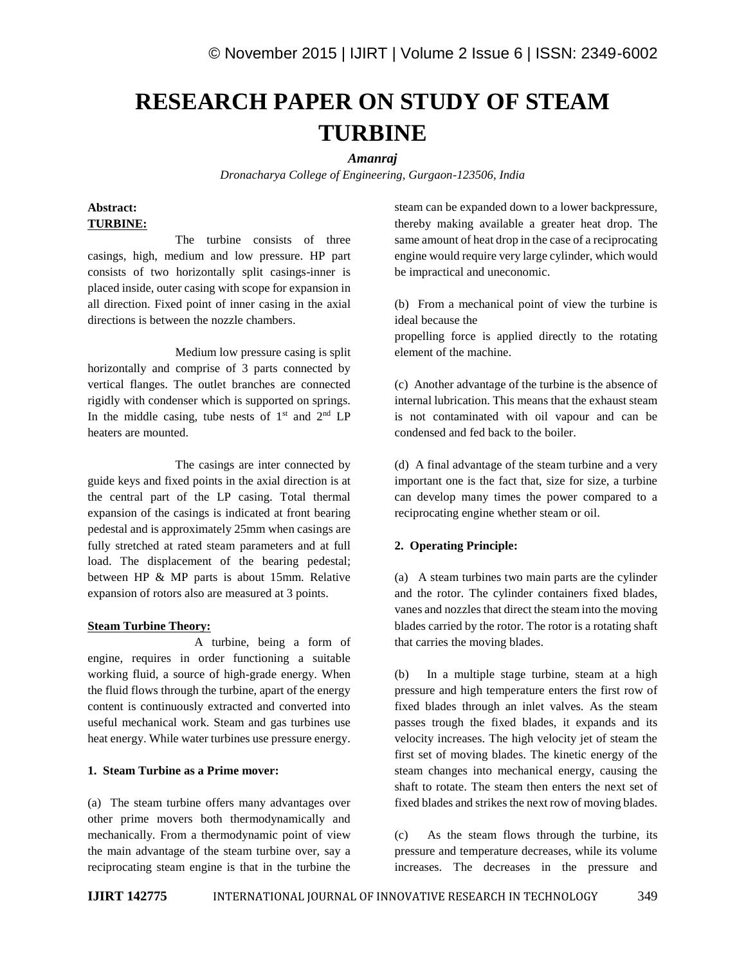# **RESEARCH PAPER ON STUDY OF STEAM TURBINE**

#### *Amanraj*

*Dronacharya College of Engineering, Gurgaon-123506, India*

# **Abstract: TURBINE:**

The turbine consists of three casings, high, medium and low pressure. HP part consists of two horizontally split casings-inner is placed inside, outer casing with scope for expansion in all direction. Fixed point of inner casing in the axial directions is between the nozzle chambers.

Medium low pressure casing is split horizontally and comprise of 3 parts connected by vertical flanges. The outlet branches are connected rigidly with condenser which is supported on springs. In the middle casing, tube nests of  $1<sup>st</sup>$  and  $2<sup>nd</sup>$  LP heaters are mounted.

The casings are inter connected by guide keys and fixed points in the axial direction is at the central part of the LP casing. Total thermal expansion of the casings is indicated at front bearing pedestal and is approximately 25mm when casings are fully stretched at rated steam parameters and at full load. The displacement of the bearing pedestal; between HP & MP parts is about 15mm. Relative expansion of rotors also are measured at 3 points.

### **Steam Turbine Theory:**

A turbine, being a form of engine, requires in order functioning a suitable working fluid, a source of high-grade energy. When (b) the fluid flows through the turbine, apart of the energy content is continuously extracted and converted into useful mechanical work. Steam and gas turbines use heat energy. While water turbines use pressure energy.

## **1. Steam Turbine as a Prime mover:**

(a) The steam turbine offers many advantages over other prime movers both thermodynamically and mechanically. From a thermodynamic point of view (c) the main advantage of the steam turbine over, say a reciprocating steam engine is that in the turbine the

steam can be expanded down to a lower backpressure, thereby making available a greater heat drop. The same amount of heat drop in the case of a reciprocating engine would require very large cylinder, which would be impractical and uneconomic.

(b) From a mechanical point of view the turbine is ideal because the

propelling force is applied directly to the rotating element of the machine.

(c) Another advantage of the turbine is the absence of internal lubrication. This means that the exhaust steam is not contaminated with oil vapour and can be condensed and fed back to the boiler.

(d) A final advantage of the steam turbine and a very important one is the fact that, size for size, a turbine can develop many times the power compared to a reciprocating engine whether steam or oil.

#### **2. Operating Principle:**

(a) A steam turbines two main parts are the cylinder and the rotor. The cylinder containers fixed blades, vanes and nozzles that direct the steam into the moving blades carried by the rotor. The rotor is a rotating shaft that carries the moving blades.

In a multiple stage turbine, steam at a high pressure and high temperature enters the first row of fixed blades through an inlet valves. As the steam passes trough the fixed blades, it expands and its velocity increases. The high velocity jet of steam the first set of moving blades. The kinetic energy of the steam changes into mechanical energy, causing the shaft to rotate. The steam then enters the next set of fixed blades and strikes the next row of moving blades.

As the steam flows through the turbine, its pressure and temperature decreases, while its volume increases. The decreases in the pressure and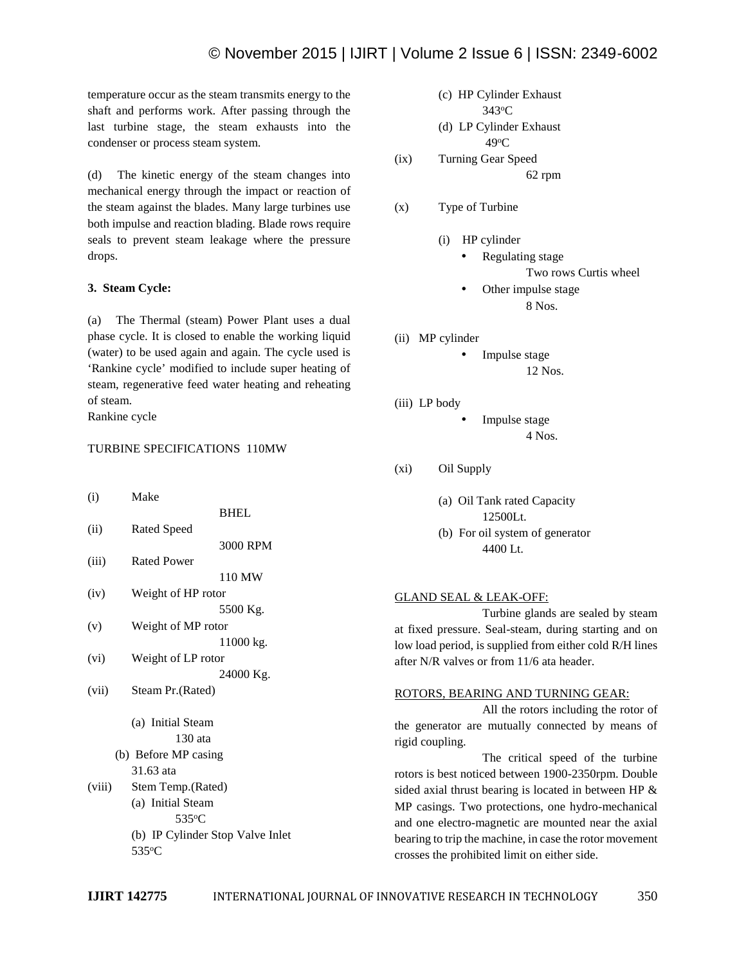temperature occur as the steam transmits energy to the shaft and performs work. After passing through the last turbine stage, the steam exhausts into the condenser or process steam system.

(d) The kinetic energy of the steam changes into mechanical energy through the impact or reaction of the steam against the blades. Many large turbines use both impulse and reaction blading. Blade rows require seals to prevent steam leakage where the pressure drops.

## **3. Steam Cycle:**

(a) The Thermal (steam) Power Plant uses a dual phase cycle. It is closed to enable the working liquid (water) to be used again and again. The cycle used is 'Rankine cycle' modified to include super heating of steam, regenerative feed water heating and reheating of steam.

Rankine cycle

# TURBINE SPECIFICATIONS 110MW

| (i)    | Make                             |
|--------|----------------------------------|
|        | <b>BHEL</b>                      |
| (ii)   | Rated Speed                      |
|        | 3000 RPM                         |
| (iii)  | <b>Rated Power</b>               |
|        | 110 MW                           |
| (iv)   | Weight of HP rotor               |
|        | 5500 Kg.                         |
| (v)    | Weight of MP rotor               |
|        | 11000 kg.                        |
| (vi)   | Weight of LP rotor               |
|        | 24000 Kg.                        |
| (vii)  | Steam Pr. (Rated)                |
|        | (a) Initial Steam                |
|        | 130 ata                          |
|        | (b) Before MP casing             |
|        | 31.63 ata                        |
| (viii) | Stem Temp.(Rated)                |
|        | (a) Initial Steam                |
|        | 535°C                            |
|        | (b) IP Cylinder Stop Valve Inlet |
|        |                                  |

<sup>535°</sup>C

\n- (c) HP Cylinder Exhaust 
$$
343^{\circ}
$$
C
\n- (d) LP Cylinder Exhaust  $49^{\circ}$ C
\n

(ix) Turning Gear Speed 62 rpm

(x) Type of Turbine

- (i) HP cylinder
	- Regulating stage Two rows Curtis wheel
	- Other impulse stage 8 Nos.
- (ii) MP cylinder

Impulse stage

12 Nos.

(iii) LP body

 Impulse stage 4 Nos.

- (xi) Oil Supply
	- (a) Oil Tank rated Capacity 12500Lt.
	- (b) For oil system of generator 4400 Lt.

#### GLAND SEAL & LEAK-OFF:

Turbine glands are sealed by steam at fixed pressure. Seal-steam, during starting and on low load period, is supplied from either cold R/H lines after N/R valves or from 11/6 ata header.

#### ROTORS, BEARING AND TURNING GEAR:

All the rotors including the rotor of the generator are mutually connected by means of rigid coupling.

The critical speed of the turbine rotors is best noticed between 1900-2350rpm. Double sided axial thrust bearing is located in between HP & MP casings. Two protections, one hydro-mechanical and one electro-magnetic are mounted near the axial bearing to trip the machine, in case the rotor movement crosses the prohibited limit on either side.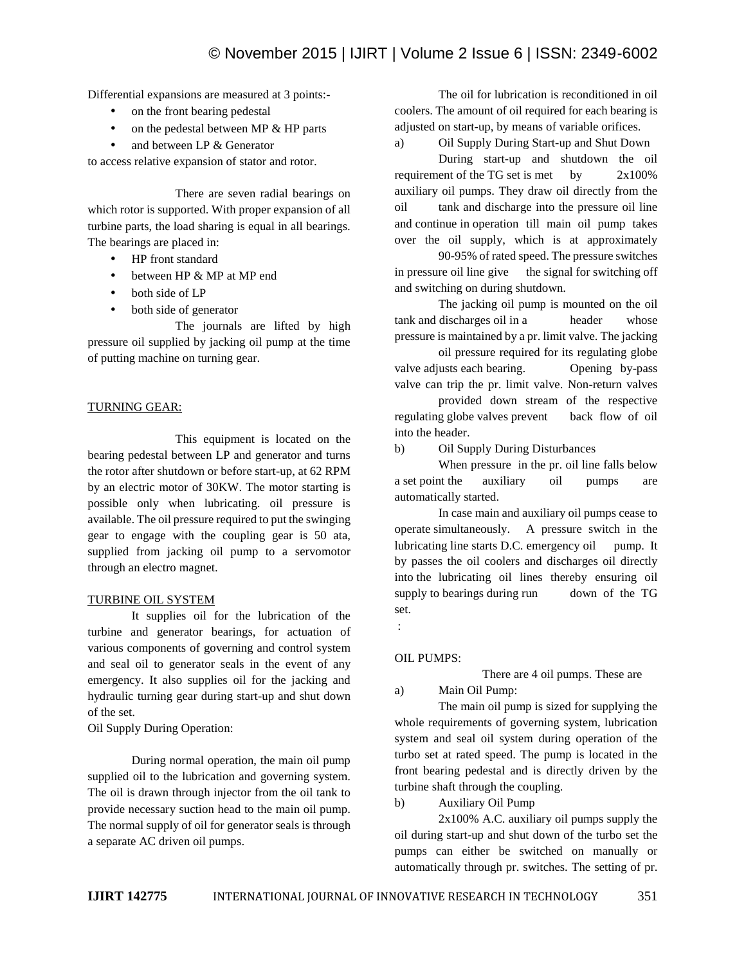Differential expansions are measured at 3 points:-

- on the front bearing pedestal
- on the pedestal between MP & HP parts
- and between LP & Generator

to access relative expansion of stator and rotor.

There are seven radial bearings on which rotor is supported. With proper expansion of all turbine parts, the load sharing is equal in all bearings. The bearings are placed in:

- HP front standard
- between HP & MP at MP end
- both side of LP
- both side of generator

The journals are lifted by high pressure oil supplied by jacking oil pump at the time of putting machine on turning gear.

## TURNING GEAR:

This equipment is located on the bearing pedestal between LP and generator and turns the rotor after shutdown or before start-up, at 62 RPM by an electric motor of 30KW. The motor starting is possible only when lubricating. oil pressure is available. The oil pressure required to put the swinging gear to engage with the coupling gear is 50 ata, supplied from jacking oil pump to a servomotor through an electro magnet.

## TURBINE OIL SYSTEM

It supplies oil for the lubrication of the turbine and generator bearings, for actuation of various components of governing and control system and seal oil to generator seals in the event of any emergency. It also supplies oil for the jacking and<br>hadronized a supplies of the start of the details and a) hydraulic turning gear during start-up and shut down of the set.

Oil Supply During Operation:

During normal operation, the main oil pump supplied oil to the lubrication and governing system. The oil is drawn through injector from the oil tank to  $\frac{du}{dx}$ provide necessary suction head to the main oil pump. The normal supply of oil for generator seals is through a separate AC driven oil pumps.

The oil for lubrication is reconditioned in oil coolers. The amount of oil required for each bearing is adjusted on start-up, by means of variable orifices.

a) Oil Supply During Start-up and Shut Down

During start-up and shutdown the oil requirement of the TG set is met by  $2x100\%$ auxiliary oil pumps. They draw oil directly from the oil tank and discharge into the pressure oil line and continue in operation till main oil pump takes over the oil supply, which is at approximately

90-95% of rated speed. The pressure switches in pressure oil line give the signal for switching off and switching on during shutdown.

The jacking oil pump is mounted on the oil tank and discharges oil in a header whose pressure is maintained by a pr. limit valve. The jacking

oil pressure required for its regulating globe valve adjusts each bearing. Opening by-pass valve can trip the pr. limit valve. Non-return valves provided down stream of the respective

regulating globe valves prevent back flow of oil into the header.

b) Oil Supply During Disturbances

When pressure in the pr. oil line falls below a set point the auxiliary oil pumps are automatically started.

In case main and auxiliary oil pumps cease to operate simultaneously. A pressure switch in the lubricating line starts D.C. emergency oil pump. It by passes the oil coolers and discharges oil directly into the lubricating oil lines thereby ensuring oil supply to bearings during run down of the TG set.

:

## OIL PUMPS:

There are 4 oil pumps. These are

Main Oil Pump:

The main oil pump is sized for supplying the whole requirements of governing system, lubrication system and seal oil system during operation of the turbo set at rated speed. The pump is located in the front bearing pedestal and is directly driven by the turbine shaft through the coupling.

b) Auxiliary Oil Pump

2x100% A.C. auxiliary oil pumps supply the oil during start-up and shut down of the turbo set the pumps can either be switched on manually or automatically through pr. switches. The setting of pr.